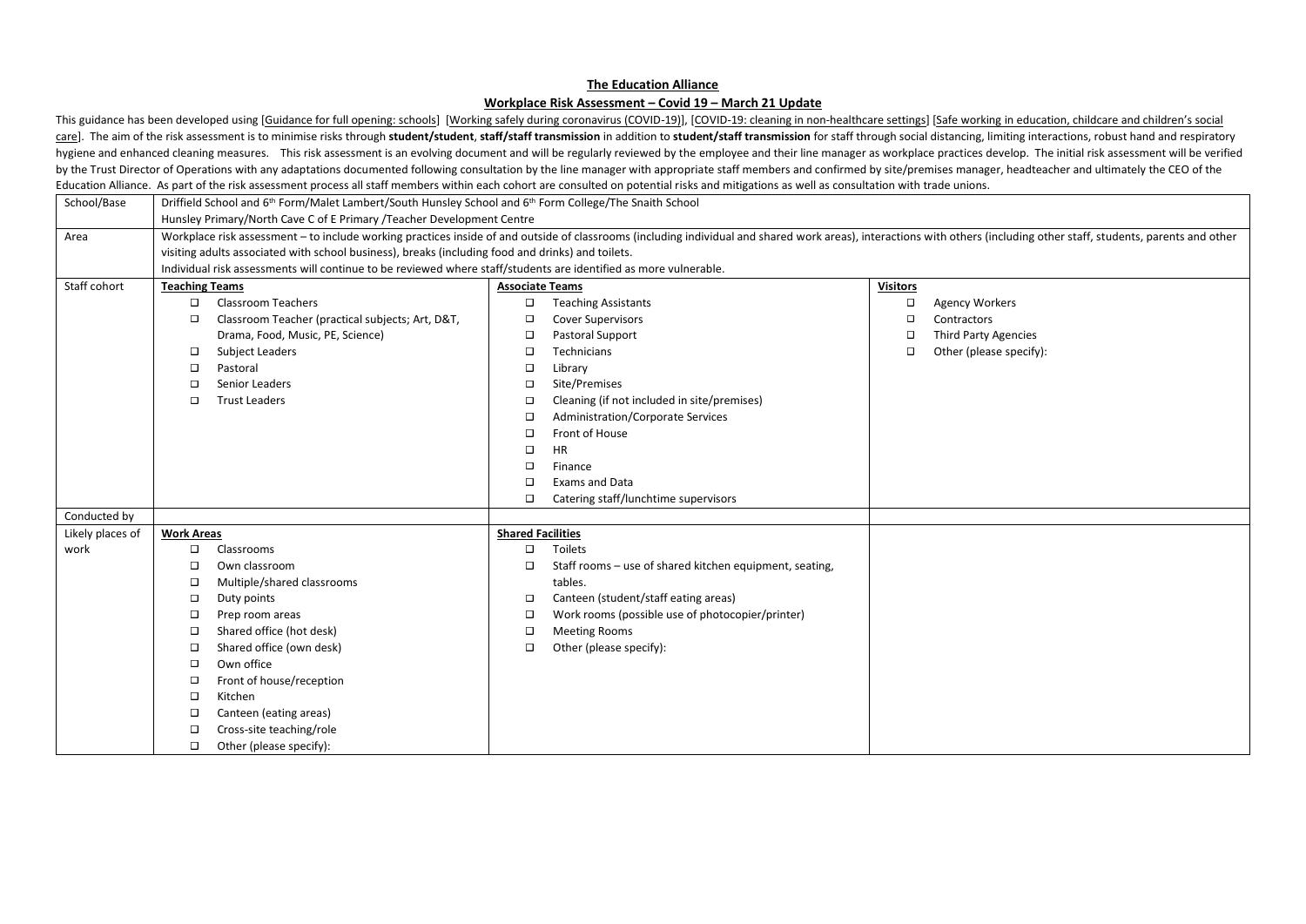## **The Education Alliance**

## **Workplace Risk Assessment – Covid 19 – March 21 Update**

This guidance has been developed using [\[Guidance for full opening: schools\]](https://www.gov.uk/government/publications/actions-for-schools-during-the-coronavirus-outbreak/guidance-for-full-opening-schools) [Working safely during coronavirus (COVID-19]], [\[COVID-19: cleaning in non-healthcare settings\]](https://www.gov.uk/government/publications/covid-19-decontamination-in-non-healthcare-settings/covid-19-decontamination-in-non-healthcare-settings) [Safe working in education, childcare and children [care\]](https://www.gov.uk/government/publications/safe-working-in-education-childcare-and-childrens-social-care). The aim of the risk assessment is to minimise risks through student/student, staff/staff transmission in addition to student/staff transmission for staff through social distancing, limiting interactions, robust hand hygiene and enhanced cleaning measures. This risk assessment is an evolving document and will be regularly reviewed by the employee and their line manager as workplace practices develop. The initial risk assessment will be by the Trust Director of Operations with any adaptations documented following consultation by the line manager with appropriate staff members and confirmed by site/premises manager, headteacher and ultimately the CEO of th Education Alliance. As part of the risk assessment process all staff members within each cohort are consulted on potential risks and mitigations as well as consultation with trade unions.

| School/Base      | Driffield School and 6 <sup>th</sup> Form/Malet Lambert/South Hunsley School and 6 <sup>th</sup> Form College/The Snaith School |                                                                   |                                                                                                                                                                                                                         |  |  |  |  |  |  |
|------------------|---------------------------------------------------------------------------------------------------------------------------------|-------------------------------------------------------------------|-------------------------------------------------------------------------------------------------------------------------------------------------------------------------------------------------------------------------|--|--|--|--|--|--|
|                  | Hunsley Primary/North Cave C of E Primary /Teacher Development Centre                                                           |                                                                   |                                                                                                                                                                                                                         |  |  |  |  |  |  |
| Area             |                                                                                                                                 |                                                                   | Workplace risk assessment - to include working practices inside of and outside of classrooms (including individual and shared work areas), interactions with others (including other staff, students, parents and other |  |  |  |  |  |  |
|                  | visiting adults associated with school business), breaks (including food and drinks) and toilets.                               |                                                                   |                                                                                                                                                                                                                         |  |  |  |  |  |  |
|                  | Individual risk assessments will continue to be reviewed where staff/students are identified as more vulnerable.                |                                                                   |                                                                                                                                                                                                                         |  |  |  |  |  |  |
| Staff cohort     | <b>Teaching Teams</b>                                                                                                           | <b>Associate Teams</b>                                            | <b>Visitors</b>                                                                                                                                                                                                         |  |  |  |  |  |  |
|                  | <b>Classroom Teachers</b><br>$\Box$                                                                                             | <b>Teaching Assistants</b><br>О                                   | О<br><b>Agency Workers</b>                                                                                                                                                                                              |  |  |  |  |  |  |
|                  | Classroom Teacher (practical subjects; Art, D&T,<br>□                                                                           | <b>Cover Supervisors</b><br>О                                     | О<br>Contractors                                                                                                                                                                                                        |  |  |  |  |  |  |
|                  | Drama, Food, Music, PE, Science)                                                                                                | Pastoral Support<br>□                                             | о<br><b>Third Party Agencies</b>                                                                                                                                                                                        |  |  |  |  |  |  |
|                  | <b>Subject Leaders</b><br>$\Box$                                                                                                | $\Box$<br>Technicians                                             | $\Box$<br>Other (please specify):                                                                                                                                                                                       |  |  |  |  |  |  |
|                  | Pastoral<br>□                                                                                                                   | $\Box$<br>Library                                                 |                                                                                                                                                                                                                         |  |  |  |  |  |  |
|                  | Senior Leaders<br>$\Box$                                                                                                        | $\Box$<br>Site/Premises                                           |                                                                                                                                                                                                                         |  |  |  |  |  |  |
|                  | $\Box$<br><b>Trust Leaders</b>                                                                                                  | Cleaning (if not included in site/premises)<br>О                  |                                                                                                                                                                                                                         |  |  |  |  |  |  |
|                  |                                                                                                                                 | $\Box$<br>Administration/Corporate Services                       |                                                                                                                                                                                                                         |  |  |  |  |  |  |
|                  |                                                                                                                                 | $\Box$<br>Front of House                                          |                                                                                                                                                                                                                         |  |  |  |  |  |  |
|                  |                                                                                                                                 | О<br><b>HR</b>                                                    |                                                                                                                                                                                                                         |  |  |  |  |  |  |
|                  |                                                                                                                                 | $\Box$<br>Finance                                                 |                                                                                                                                                                                                                         |  |  |  |  |  |  |
|                  |                                                                                                                                 | □<br>Exams and Data                                               |                                                                                                                                                                                                                         |  |  |  |  |  |  |
|                  |                                                                                                                                 | Catering staff/lunchtime supervisors<br>□                         |                                                                                                                                                                                                                         |  |  |  |  |  |  |
| Conducted by     |                                                                                                                                 |                                                                   |                                                                                                                                                                                                                         |  |  |  |  |  |  |
| Likely places of | <b>Work Areas</b>                                                                                                               | <b>Shared Facilities</b>                                          |                                                                                                                                                                                                                         |  |  |  |  |  |  |
| work             | $\Box$<br>Classrooms                                                                                                            | Toilets<br>□                                                      |                                                                                                                                                                                                                         |  |  |  |  |  |  |
|                  | $\Box$<br>Own classroom                                                                                                         | $\Box$<br>Staff rooms - use of shared kitchen equipment, seating, |                                                                                                                                                                                                                         |  |  |  |  |  |  |
|                  | Ο<br>Multiple/shared classrooms                                                                                                 | tables.                                                           |                                                                                                                                                                                                                         |  |  |  |  |  |  |
|                  | $\Box$<br>Duty points                                                                                                           | $\Box$<br>Canteen (student/staff eating areas)                    |                                                                                                                                                                                                                         |  |  |  |  |  |  |
|                  | $\Box$<br>Prep room areas                                                                                                       | $\Box$<br>Work rooms (possible use of photocopier/printer)        |                                                                                                                                                                                                                         |  |  |  |  |  |  |
|                  | Shared office (hot desk)<br>$\Box$                                                                                              | $\Box$<br><b>Meeting Rooms</b>                                    |                                                                                                                                                                                                                         |  |  |  |  |  |  |
|                  | $\Box$<br>Shared office (own desk)                                                                                              | $\Box$<br>Other (please specify):                                 |                                                                                                                                                                                                                         |  |  |  |  |  |  |
|                  | $\Box$<br>Own office                                                                                                            |                                                                   |                                                                                                                                                                                                                         |  |  |  |  |  |  |
|                  | $\Box$<br>Front of house/reception                                                                                              |                                                                   |                                                                                                                                                                                                                         |  |  |  |  |  |  |
|                  | $\Box$<br>Kitchen                                                                                                               |                                                                   |                                                                                                                                                                                                                         |  |  |  |  |  |  |
|                  | $\Box$<br>Canteen (eating areas)                                                                                                |                                                                   |                                                                                                                                                                                                                         |  |  |  |  |  |  |
|                  | Cross-site teaching/role<br>$\Box$                                                                                              |                                                                   |                                                                                                                                                                                                                         |  |  |  |  |  |  |
|                  | $\Box$<br>Other (please specify):                                                                                               |                                                                   |                                                                                                                                                                                                                         |  |  |  |  |  |  |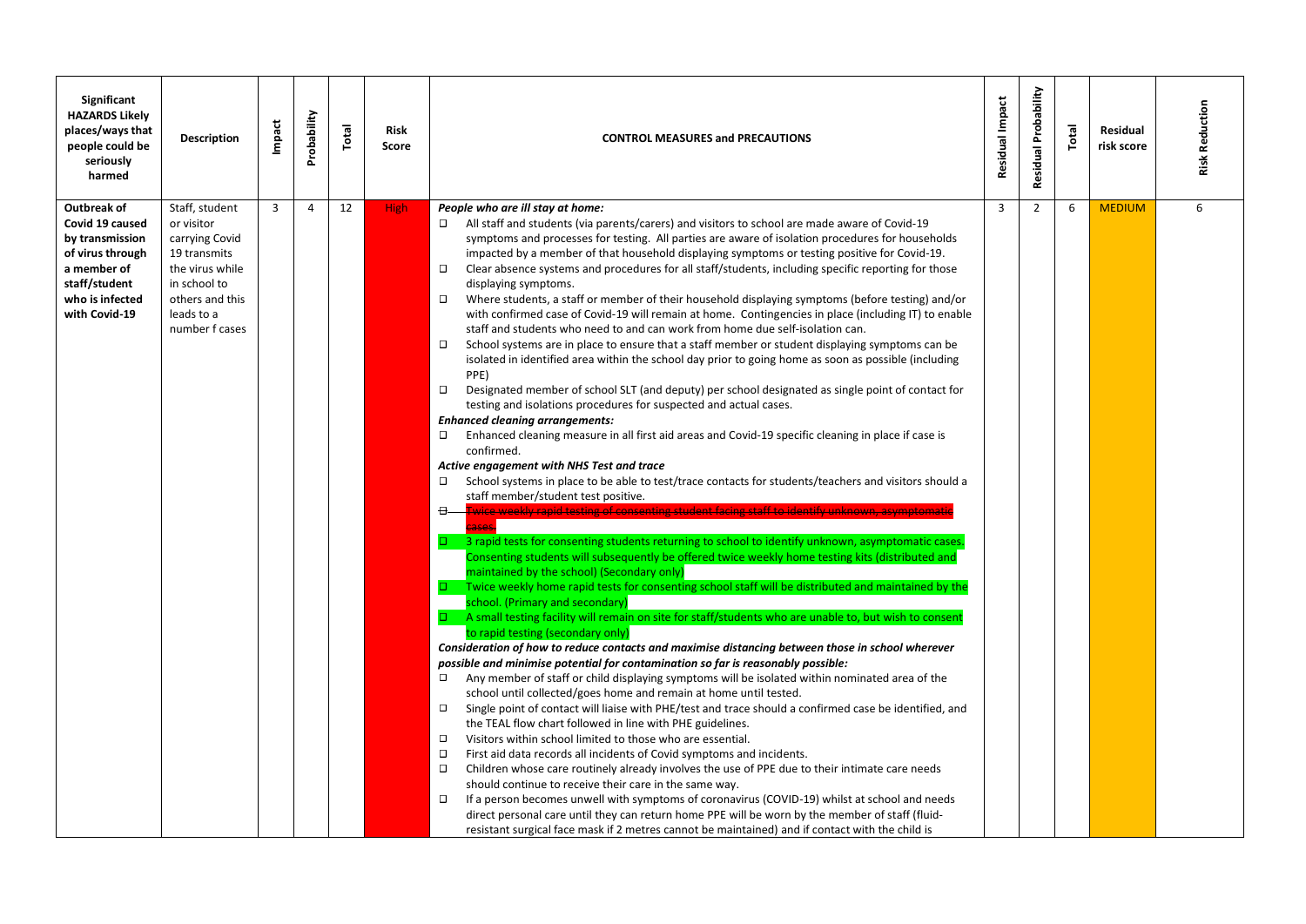| Significant<br><b>HAZARDS Likely</b><br>places/ways that<br>people could be<br>seriously<br>harmed                                        | <b>Description</b>                                                                                                                                   | Impact         | Probability    | Total | <b>Risk</b><br>Score | <b>CONTROL MEASURES and PRECAUTIONS</b>                                                                                                                                                                                                                                                                                                                                                                                                                                                                                                                                                                                                                                                                                                                                                                                                                                                                                                                                                                                                                                                                                                                                                                                                                                                                                                                                                                                                                                                                                                                                                                                                                                                                                                                                                                                                                                                                                                                                                                                                                                                                                                                                                                                                                                                                                                                                                                                                                                                                                                                                                                                                                                                                                                                                                                                                                                                                                                                                                                                                                                                                                                                                                                                                                                                                                                                                                                                                                                    | Residual Impact | Residual Probability | Total | Residual<br>risk score | <b>Risk Reduction</b> |
|-------------------------------------------------------------------------------------------------------------------------------------------|------------------------------------------------------------------------------------------------------------------------------------------------------|----------------|----------------|-------|----------------------|----------------------------------------------------------------------------------------------------------------------------------------------------------------------------------------------------------------------------------------------------------------------------------------------------------------------------------------------------------------------------------------------------------------------------------------------------------------------------------------------------------------------------------------------------------------------------------------------------------------------------------------------------------------------------------------------------------------------------------------------------------------------------------------------------------------------------------------------------------------------------------------------------------------------------------------------------------------------------------------------------------------------------------------------------------------------------------------------------------------------------------------------------------------------------------------------------------------------------------------------------------------------------------------------------------------------------------------------------------------------------------------------------------------------------------------------------------------------------------------------------------------------------------------------------------------------------------------------------------------------------------------------------------------------------------------------------------------------------------------------------------------------------------------------------------------------------------------------------------------------------------------------------------------------------------------------------------------------------------------------------------------------------------------------------------------------------------------------------------------------------------------------------------------------------------------------------------------------------------------------------------------------------------------------------------------------------------------------------------------------------------------------------------------------------------------------------------------------------------------------------------------------------------------------------------------------------------------------------------------------------------------------------------------------------------------------------------------------------------------------------------------------------------------------------------------------------------------------------------------------------------------------------------------------------------------------------------------------------------------------------------------------------------------------------------------------------------------------------------------------------------------------------------------------------------------------------------------------------------------------------------------------------------------------------------------------------------------------------------------------------------------------------------------------------------------------------------------------------|-----------------|----------------------|-------|------------------------|-----------------------|
| Outbreak of<br>Covid 19 caused<br>by transmission<br>of virus through<br>a member of<br>staff/student<br>who is infected<br>with Covid-19 | Staff, student<br>or visitor<br>carrying Covid<br>19 transmits<br>the virus while<br>in school to<br>others and this<br>leads to a<br>number f cases | $\overline{3}$ | $\overline{4}$ | 12    | High                 | People who are ill stay at home:<br>All staff and students (via parents/carers) and visitors to school are made aware of Covid-19<br>symptoms and processes for testing. All parties are aware of isolation procedures for households<br>impacted by a member of that household displaying symptoms or testing positive for Covid-19.<br>$\Box$<br>Clear absence systems and procedures for all staff/students, including specific reporting for those<br>displaying symptoms.<br>Where students, a staff or member of their household displaying symptoms (before testing) and/or<br>$\Box$<br>with confirmed case of Covid-19 will remain at home. Contingencies in place (including IT) to enable<br>staff and students who need to and can work from home due self-isolation can.<br>School systems are in place to ensure that a staff member or student displaying symptoms can be<br>isolated in identified area within the school day prior to going home as soon as possible (including<br>PPE)<br>$\Box$<br>Designated member of school SLT (and deputy) per school designated as single point of contact for<br>testing and isolations procedures for suspected and actual cases.<br><b>Enhanced cleaning arrangements:</b><br>$\Box$<br>Enhanced cleaning measure in all first aid areas and Covid-19 specific cleaning in place if case is<br>confirmed.<br>Active engagement with NHS Test and trace<br>School systems in place to be able to test/trace contacts for students/teachers and visitors should a<br>□<br>staff member/student test positive.<br>Twice weekly rapid testing of consenting student facing staff to identify unknown, asympton<br>8-<br>ases.<br>$\Box$ 3 rapid tests for consenting students returning to school to identify unknown, asymptomatic cases.<br>Consenting students will subsequently be offered twice weekly home testing kits (distributed and<br>maintained by the school) (Secondary only)<br>$\square$ Twice weekly home rapid tests for consenting school staff will be distributed and maintained by the<br>school. (Primary and secondary)<br>$\Box$ A small testing facility will remain on site for staff/students who are unable to, but wish to consent<br>to rapid testing (secondary only)<br>Consideration of how to reduce contacts and maximise distancing between those in school wherever<br>possible and minimise potential for contamination so far is reasonably possible:<br>Any member of staff or child displaying symptoms will be isolated within nominated area of the<br>$\Box$<br>school until collected/goes home and remain at home until tested.<br>$\Box$<br>Single point of contact will liaise with PHE/test and trace should a confirmed case be identified, and<br>the TEAL flow chart followed in line with PHE guidelines.<br>$\Box$<br>Visitors within school limited to those who are essential.<br>$\Box$<br>First aid data records all incidents of Covid symptoms and incidents.<br>$\Box$<br>Children whose care routinely already involves the use of PPE due to their intimate care needs<br>should continue to receive their care in the same way.<br>$\Box$<br>If a person becomes unwell with symptoms of coronavirus (COVID-19) whilst at school and needs<br>direct personal care until they can return home PPE will be worn by the member of staff (fluid-<br>resistant surgical face mask if 2 metres cannot be maintained) and if contact with the child is | $\overline{3}$  | $\overline{2}$       | 6     | <b>MEDIUM</b>          | 6                     |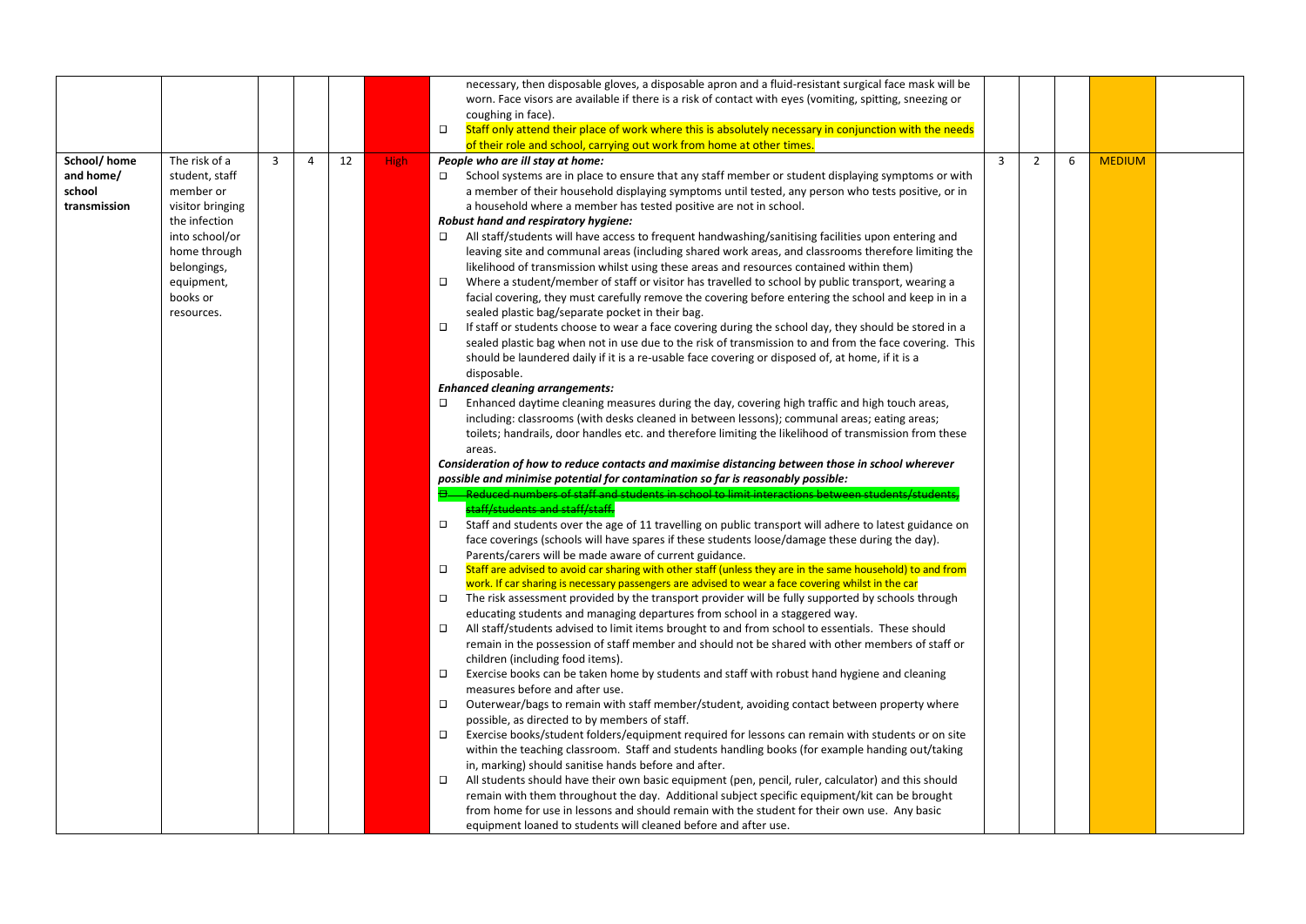|              |                  |   |   |    |             | necessary, then disposable gloves, a disposable apron and a fluid-resistant surgical face mask will be                                                                |                |   |   |               |  |
|--------------|------------------|---|---|----|-------------|-----------------------------------------------------------------------------------------------------------------------------------------------------------------------|----------------|---|---|---------------|--|
|              |                  |   |   |    |             | worn. Face visors are available if there is a risk of contact with eyes (vomiting, spitting, sneezing or                                                              |                |   |   |               |  |
|              |                  |   |   |    |             | coughing in face).                                                                                                                                                    |                |   |   |               |  |
|              |                  |   |   |    |             | $\Box$<br>Staff only attend their place of work where this is absolutely necessary in conjunction with the needs                                                      |                |   |   |               |  |
|              |                  |   |   |    |             | of their role and school, carrying out work from home at other times.                                                                                                 |                |   |   |               |  |
| School/home  | The risk of a    | 3 | 4 | 12 | <b>High</b> | People who are ill stay at home:                                                                                                                                      | $\overline{3}$ | 2 | 6 | <b>MEDIUM</b> |  |
| and home/    | student, staff   |   |   |    |             | $\Box$<br>School systems are in place to ensure that any staff member or student displaying symptoms or with                                                          |                |   |   |               |  |
| school       | member or        |   |   |    |             | a member of their household displaying symptoms until tested, any person who tests positive, or in                                                                    |                |   |   |               |  |
| transmission | visitor bringing |   |   |    |             | a household where a member has tested positive are not in school.                                                                                                     |                |   |   |               |  |
|              | the infection    |   |   |    |             | Robust hand and respiratory hygiene:                                                                                                                                  |                |   |   |               |  |
|              | into school/or   |   |   |    |             | $\Box$<br>All staff/students will have access to frequent handwashing/sanitising facilities upon entering and                                                         |                |   |   |               |  |
|              | home through     |   |   |    |             | leaving site and communal areas (including shared work areas, and classrooms therefore limiting the                                                                   |                |   |   |               |  |
|              | belongings,      |   |   |    |             | likelihood of transmission whilst using these areas and resources contained within them)                                                                              |                |   |   |               |  |
|              | equipment,       |   |   |    |             | $\Box$<br>Where a student/member of staff or visitor has travelled to school by public transport, wearing a                                                           |                |   |   |               |  |
|              | books or         |   |   |    |             | facial covering, they must carefully remove the covering before entering the school and keep in in a                                                                  |                |   |   |               |  |
|              | resources.       |   |   |    |             | sealed plastic bag/separate pocket in their bag.<br>$\Box$<br>If staff or students choose to wear a face covering during the school day, they should be stored in a   |                |   |   |               |  |
|              |                  |   |   |    |             | sealed plastic bag when not in use due to the risk of transmission to and from the face covering. This                                                                |                |   |   |               |  |
|              |                  |   |   |    |             | should be laundered daily if it is a re-usable face covering or disposed of, at home, if it is a                                                                      |                |   |   |               |  |
|              |                  |   |   |    |             | disposable.                                                                                                                                                           |                |   |   |               |  |
|              |                  |   |   |    |             | <b>Enhanced cleaning arrangements:</b>                                                                                                                                |                |   |   |               |  |
|              |                  |   |   |    |             | $\Box$<br>Enhanced daytime cleaning measures during the day, covering high traffic and high touch areas,                                                              |                |   |   |               |  |
|              |                  |   |   |    |             | including: classrooms (with desks cleaned in between lessons); communal areas; eating areas;                                                                          |                |   |   |               |  |
|              |                  |   |   |    |             | toilets; handrails, door handles etc. and therefore limiting the likelihood of transmission from these                                                                |                |   |   |               |  |
|              |                  |   |   |    |             | areas.                                                                                                                                                                |                |   |   |               |  |
|              |                  |   |   |    |             | Consideration of how to reduce contacts and maximise distancing between those in school wherever                                                                      |                |   |   |               |  |
|              |                  |   |   |    |             | possible and minimise potential for contamination so far is reasonably possible:                                                                                      |                |   |   |               |  |
|              |                  |   |   |    |             | <del>De the Reduced numbers of staff and students in school to limit interactions between students/students</del>                                                     |                |   |   |               |  |
|              |                  |   |   |    |             | staff/students and staff/staff.                                                                                                                                       |                |   |   |               |  |
|              |                  |   |   |    |             | Staff and students over the age of 11 travelling on public transport will adhere to latest guidance on<br>$\Box$                                                      |                |   |   |               |  |
|              |                  |   |   |    |             | face coverings (schools will have spares if these students loose/damage these during the day).                                                                        |                |   |   |               |  |
|              |                  |   |   |    |             | Parents/carers will be made aware of current guidance.                                                                                                                |                |   |   |               |  |
|              |                  |   |   |    |             | $\qquad \qquad \Box$<br>Staff are advised to avoid car sharing with other staff (unless they are in the same household) to and from                                   |                |   |   |               |  |
|              |                  |   |   |    |             | work. If car sharing is necessary passengers are advised to wear a face covering whilst in the car                                                                    |                |   |   |               |  |
|              |                  |   |   |    |             | $\Box$<br>The risk assessment provided by the transport provider will be fully supported by schools through                                                           |                |   |   |               |  |
|              |                  |   |   |    |             | educating students and managing departures from school in a staggered way.                                                                                            |                |   |   |               |  |
|              |                  |   |   |    |             | $\Box$<br>All staff/students advised to limit items brought to and from school to essentials. These should                                                            |                |   |   |               |  |
|              |                  |   |   |    |             | remain in the possession of staff member and should not be shared with other members of staff or                                                                      |                |   |   |               |  |
|              |                  |   |   |    |             | children (including food items).                                                                                                                                      |                |   |   |               |  |
|              |                  |   |   |    |             | $\Box$<br>Exercise books can be taken home by students and staff with robust hand hygiene and cleaning                                                                |                |   |   |               |  |
|              |                  |   |   |    |             | measures before and after use.                                                                                                                                        |                |   |   |               |  |
|              |                  |   |   |    |             | $\Box$<br>Outerwear/bags to remain with staff member/student, avoiding contact between property where                                                                 |                |   |   |               |  |
|              |                  |   |   |    |             | possible, as directed to by members of staff.<br>$\Box$                                                                                                               |                |   |   |               |  |
|              |                  |   |   |    |             | Exercise books/student folders/equipment required for lessons can remain with students or on site                                                                     |                |   |   |               |  |
|              |                  |   |   |    |             | within the teaching classroom. Staff and students handling books (for example handing out/taking                                                                      |                |   |   |               |  |
|              |                  |   |   |    |             | in, marking) should sanitise hands before and after.<br>$\Box$<br>All students should have their own basic equipment (pen, pencil, ruler, calculator) and this should |                |   |   |               |  |
|              |                  |   |   |    |             | remain with them throughout the day. Additional subject specific equipment/kit can be brought                                                                         |                |   |   |               |  |
|              |                  |   |   |    |             | from home for use in lessons and should remain with the student for their own use. Any basic                                                                          |                |   |   |               |  |
|              |                  |   |   |    |             | equipment loaned to students will cleaned before and after use.                                                                                                       |                |   |   |               |  |
|              |                  |   |   |    |             |                                                                                                                                                                       |                |   |   |               |  |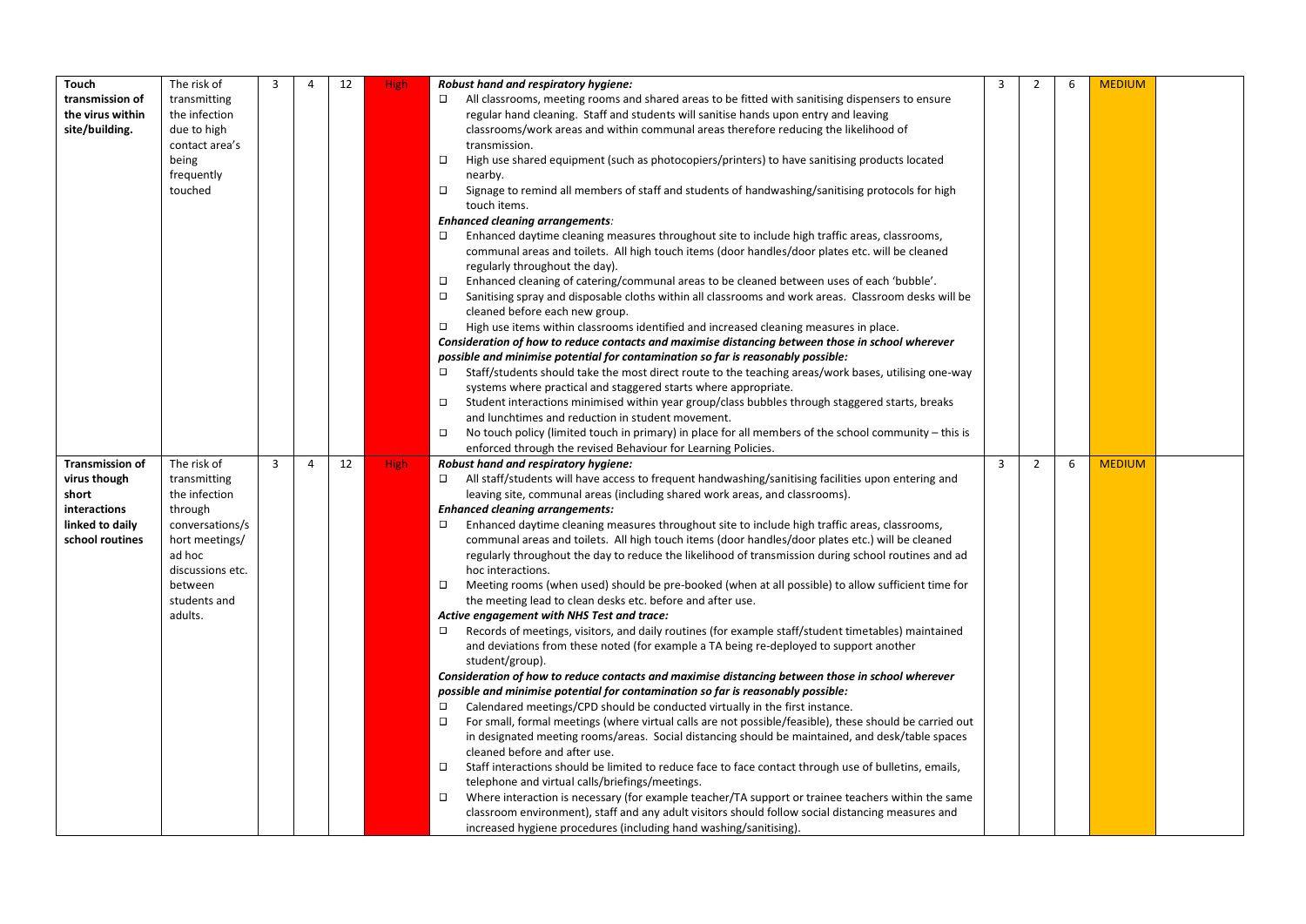| <b>Touch</b>           | The risk of      | 3 | 4 | 12 | <b>High</b> | Robust hand and respiratory hygiene:                                                                                                                                                                         | 3 | 2 | 6 | <b>MEDIUM</b> |  |
|------------------------|------------------|---|---|----|-------------|--------------------------------------------------------------------------------------------------------------------------------------------------------------------------------------------------------------|---|---|---|---------------|--|
| transmission of        | transmitting     |   |   |    |             | $\Box$<br>All classrooms, meeting rooms and shared areas to be fitted with sanitising dispensers to ensure                                                                                                   |   |   |   |               |  |
| the virus within       | the infection    |   |   |    |             | regular hand cleaning. Staff and students will sanitise hands upon entry and leaving                                                                                                                         |   |   |   |               |  |
| site/building.         | due to high      |   |   |    |             | classrooms/work areas and within communal areas therefore reducing the likelihood of                                                                                                                         |   |   |   |               |  |
|                        | contact area's   |   |   |    |             | transmission.                                                                                                                                                                                                |   |   |   |               |  |
|                        | being            |   |   |    |             | $\Box$<br>High use shared equipment (such as photocopiers/printers) to have sanitising products located                                                                                                      |   |   |   |               |  |
|                        | frequently       |   |   |    |             | nearby.                                                                                                                                                                                                      |   |   |   |               |  |
|                        | touched          |   |   |    |             | $\Box$<br>Signage to remind all members of staff and students of handwashing/sanitising protocols for high                                                                                                   |   |   |   |               |  |
|                        |                  |   |   |    |             | touch items.                                                                                                                                                                                                 |   |   |   |               |  |
|                        |                  |   |   |    |             | <b>Enhanced cleaning arrangements:</b>                                                                                                                                                                       |   |   |   |               |  |
|                        |                  |   |   |    |             | $\Box$<br>Enhanced daytime cleaning measures throughout site to include high traffic areas, classrooms,                                                                                                      |   |   |   |               |  |
|                        |                  |   |   |    |             | communal areas and toilets. All high touch items (door handles/door plates etc. will be cleaned                                                                                                              |   |   |   |               |  |
|                        |                  |   |   |    |             | regularly throughout the day).                                                                                                                                                                               |   |   |   |               |  |
|                        |                  |   |   |    |             | Enhanced cleaning of catering/communal areas to be cleaned between uses of each 'bubble'.<br>$\Box$                                                                                                          |   |   |   |               |  |
|                        |                  |   |   |    |             | $\Box$<br>Sanitising spray and disposable cloths within all classrooms and work areas. Classroom desks will be                                                                                               |   |   |   |               |  |
|                        |                  |   |   |    |             | cleaned before each new group.                                                                                                                                                                               |   |   |   |               |  |
|                        |                  |   |   |    |             | $\Box$<br>High use items within classrooms identified and increased cleaning measures in place.                                                                                                              |   |   |   |               |  |
|                        |                  |   |   |    |             | Consideration of how to reduce contacts and maximise distancing between those in school wherever                                                                                                             |   |   |   |               |  |
|                        |                  |   |   |    |             | possible and minimise potential for contamination so far is reasonably possible:                                                                                                                             |   |   |   |               |  |
|                        |                  |   |   |    |             | □<br>Staff/students should take the most direct route to the teaching areas/work bases, utilising one-way                                                                                                    |   |   |   |               |  |
|                        |                  |   |   |    |             | systems where practical and staggered starts where appropriate.                                                                                                                                              |   |   |   |               |  |
|                        |                  |   |   |    |             | $\Box$<br>Student interactions minimised within year group/class bubbles through staggered starts, breaks                                                                                                    |   |   |   |               |  |
|                        |                  |   |   |    |             | and lunchtimes and reduction in student movement.                                                                                                                                                            |   |   |   |               |  |
|                        |                  |   |   |    |             | $\Box$<br>No touch policy (limited touch in primary) in place for all members of the school community – this is                                                                                              |   |   |   |               |  |
|                        |                  |   |   |    |             | enforced through the revised Behaviour for Learning Policies.                                                                                                                                                |   |   |   |               |  |
| <b>Transmission of</b> | The risk of      | 3 | 4 | 12 | <b>High</b> | Robust hand and respiratory hygiene:                                                                                                                                                                         | 3 | 2 | 6 | <b>MEDIUM</b> |  |
| virus though           | transmitting     |   |   |    |             | All staff/students will have access to frequent handwashing/sanitising facilities upon entering and<br>□                                                                                                     |   |   |   |               |  |
| short                  | the infection    |   |   |    |             | leaving site, communal areas (including shared work areas, and classrooms).                                                                                                                                  |   |   |   |               |  |
| interactions           | through          |   |   |    |             | <b>Enhanced cleaning arrangements:</b>                                                                                                                                                                       |   |   |   |               |  |
| linked to daily        | conversations/s  |   |   |    |             | $\Box$<br>Enhanced daytime cleaning measures throughout site to include high traffic areas, classrooms,                                                                                                      |   |   |   |               |  |
| school routines        |                  |   |   |    |             |                                                                                                                                                                                                              |   |   |   |               |  |
|                        |                  |   |   |    |             |                                                                                                                                                                                                              |   |   |   |               |  |
|                        | hort meetings/   |   |   |    |             | communal areas and toilets. All high touch items (door handles/door plates etc.) will be cleaned                                                                                                             |   |   |   |               |  |
|                        | ad hoc           |   |   |    |             | regularly throughout the day to reduce the likelihood of transmission during school routines and ad                                                                                                          |   |   |   |               |  |
|                        | discussions etc. |   |   |    |             | hoc interactions.                                                                                                                                                                                            |   |   |   |               |  |
|                        | between          |   |   |    |             | $\Box$<br>Meeting rooms (when used) should be pre-booked (when at all possible) to allow sufficient time for                                                                                                 |   |   |   |               |  |
|                        | students and     |   |   |    |             | the meeting lead to clean desks etc. before and after use.                                                                                                                                                   |   |   |   |               |  |
|                        | adults.          |   |   |    |             | Active engagement with NHS Test and trace:                                                                                                                                                                   |   |   |   |               |  |
|                        |                  |   |   |    |             | о<br>Records of meetings, visitors, and daily routines (for example staff/student timetables) maintained                                                                                                     |   |   |   |               |  |
|                        |                  |   |   |    |             | and deviations from these noted (for example a TA being re-deployed to support another                                                                                                                       |   |   |   |               |  |
|                        |                  |   |   |    |             | student/group).                                                                                                                                                                                              |   |   |   |               |  |
|                        |                  |   |   |    |             | Consideration of how to reduce contacts and maximise distancing between those in school wherever                                                                                                             |   |   |   |               |  |
|                        |                  |   |   |    |             | possible and minimise potential for contamination so far is reasonably possible:                                                                                                                             |   |   |   |               |  |
|                        |                  |   |   |    |             | Calendared meetings/CPD should be conducted virtually in the first instance.<br>$\Box$                                                                                                                       |   |   |   |               |  |
|                        |                  |   |   |    |             | □<br>For small, formal meetings (where virtual calls are not possible/feasible), these should be carried out                                                                                                 |   |   |   |               |  |
|                        |                  |   |   |    |             | in designated meeting rooms/areas. Social distancing should be maintained, and desk/table spaces                                                                                                             |   |   |   |               |  |
|                        |                  |   |   |    |             | cleaned before and after use.                                                                                                                                                                                |   |   |   |               |  |
|                        |                  |   |   |    |             | $\Box$<br>Staff interactions should be limited to reduce face to face contact through use of bulletins, emails,                                                                                              |   |   |   |               |  |
|                        |                  |   |   |    |             | telephone and virtual calls/briefings/meetings.                                                                                                                                                              |   |   |   |               |  |
|                        |                  |   |   |    |             | Ο<br>Where interaction is necessary (for example teacher/TA support or trainee teachers within the same<br>classroom environment), staff and any adult visitors should follow social distancing measures and |   |   |   |               |  |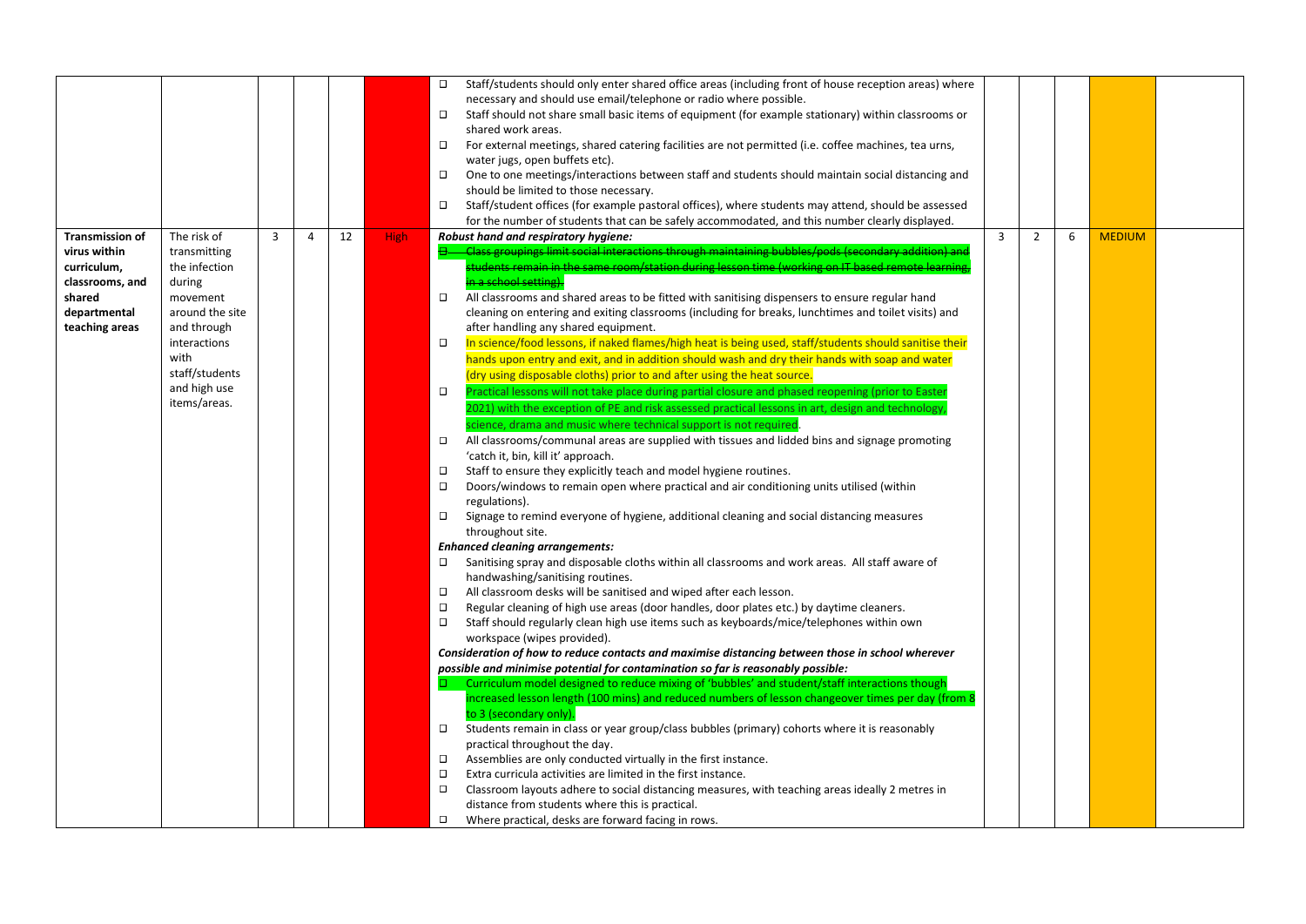|                                                                                                                                                                                   |                                                                                                                        |                      |             | Staff/students should only enter shared office areas (including front of house reception areas) where<br>necessary and should use email/telephone or radio where possible.<br>□<br>Staff should not share small basic items of equipment (for example stationary) within classrooms or<br>shared work areas.<br>For external meetings, shared catering facilities are not permitted (i.e. coffee machines, tea urns,<br>□<br>water jugs, open buffets etc).<br>$\Box$<br>One to one meetings/interactions between staff and students should maintain social distancing and<br>should be limited to those necessary.<br>Staff/student offices (for example pastoral offices), where students may attend, should be assessed<br>$\Box$<br>for the number of students that can be safely accommodated, and this number clearly displayed.                                                                                                                                                                                                                                                                                                                                                                                                                                                                                                                                                                                                                                                                                                                                                                                                                                                                                                                                                                                                                                                                                                                                                                                                                                                                                                                                                                                                                                                                                                                                                                                                                                                                                                                                                                                                                                                                                                                                                                                                                                                                                                                                                                                                                    |                |                |   |               |  |
|-----------------------------------------------------------------------------------------------------------------------------------------------------------------------------------|------------------------------------------------------------------------------------------------------------------------|----------------------|-------------|-----------------------------------------------------------------------------------------------------------------------------------------------------------------------------------------------------------------------------------------------------------------------------------------------------------------------------------------------------------------------------------------------------------------------------------------------------------------------------------------------------------------------------------------------------------------------------------------------------------------------------------------------------------------------------------------------------------------------------------------------------------------------------------------------------------------------------------------------------------------------------------------------------------------------------------------------------------------------------------------------------------------------------------------------------------------------------------------------------------------------------------------------------------------------------------------------------------------------------------------------------------------------------------------------------------------------------------------------------------------------------------------------------------------------------------------------------------------------------------------------------------------------------------------------------------------------------------------------------------------------------------------------------------------------------------------------------------------------------------------------------------------------------------------------------------------------------------------------------------------------------------------------------------------------------------------------------------------------------------------------------------------------------------------------------------------------------------------------------------------------------------------------------------------------------------------------------------------------------------------------------------------------------------------------------------------------------------------------------------------------------------------------------------------------------------------------------------------------------------------------------------------------------------------------------------------------------------------------------------------------------------------------------------------------------------------------------------------------------------------------------------------------------------------------------------------------------------------------------------------------------------------------------------------------------------------------------------------------------------------------------------------------------------------------------------|----------------|----------------|---|---------------|--|
| <b>Transmission of</b><br>The risk of<br>virus within<br>curriculum,<br>classrooms, and<br>during<br>shared<br>movement<br>departmental<br>teaching areas<br>interactions<br>with | 3<br>transmitting<br>the infection<br>around the site<br>and through<br>staff/students<br>and high use<br>items/areas. | $\overline{4}$<br>12 | <b>High</b> | Robust hand and respiratory hygiene:<br>Class groupings limit social interactions through maintaining bubbles/pods (secondary addition) and<br>tudents remain in the same room/station during lesson time (working on IT based remote lea<br>n a school setting).<br>$\Box$<br>All classrooms and shared areas to be fitted with sanitising dispensers to ensure regular hand<br>cleaning on entering and exiting classrooms (including for breaks, lunchtimes and toilet visits) and<br>after handling any shared equipment.<br>О<br>In science/food lessons, if naked flames/high heat is being used, staff/students should sanitise their<br>hands upon entry and exit, and in addition should wash and dry their hands with soap and water<br>(dry using disposable cloths) prior to and after using the heat source.<br>$\Box$<br>Practical lessons will not take place during partial closure and phased reopening (prior to Easter<br>2021) with the exception of PE and risk assessed practical lessons in art, design and technology<br>science, drama and music where technical support is not required.<br>All classrooms/communal areas are supplied with tissues and lidded bins and signage promoting<br>$\Box$<br>'catch it, bin, kill it' approach.<br>$\Box$<br>Staff to ensure they explicitly teach and model hygiene routines.<br>О<br>Doors/windows to remain open where practical and air conditioning units utilised (within<br>regulations).<br>$\Box$<br>Signage to remind everyone of hygiene, additional cleaning and social distancing measures<br>throughout site.<br><b>Enhanced cleaning arrangements:</b><br>Sanitising spray and disposable cloths within all classrooms and work areas. All staff aware of<br>□<br>handwashing/sanitising routines.<br>$\Box$<br>All classroom desks will be sanitised and wiped after each lesson.<br>О<br>Regular cleaning of high use areas (door handles, door plates etc.) by daytime cleaners.<br>О<br>Staff should regularly clean high use items such as keyboards/mice/telephones within own<br>workspace (wipes provided).<br>Consideration of how to reduce contacts and maximise distancing between those in school wherever<br>possible and minimise potential for contamination so far is reasonably possible:<br>$\Box$ Curriculum model designed to reduce mixing of 'bubbles' and student/staff interactions though<br>increased lesson length (100 mins) and reduced numbers of lesson changeover times per day (from 8<br>to 3 (secondary only).<br>Students remain in class or year group/class bubbles (primary) cohorts where it is reasonably<br>□<br>practical throughout the day.<br>Assemblies are only conducted virtually in the first instance.<br>□<br>□<br>Extra curricula activities are limited in the first instance.<br>$\Box$<br>Classroom layouts adhere to social distancing measures, with teaching areas ideally 2 metres in<br>distance from students where this is practical.<br>$\Box$<br>Where practical, desks are forward facing in rows. | $\overline{3}$ | $\overline{2}$ | 6 | <b>MEDIUM</b> |  |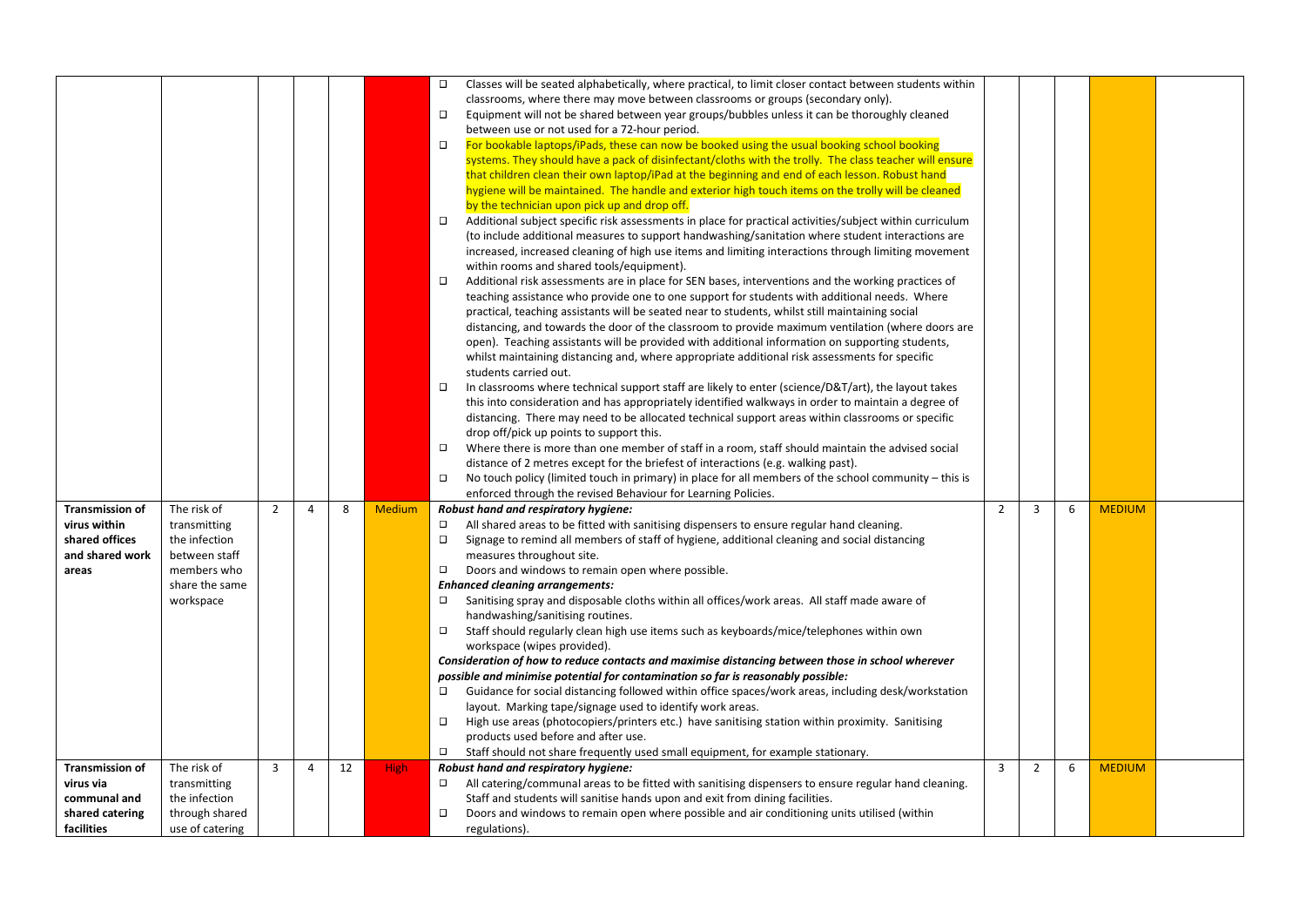|                          |                              |             |   |    |             | Classes will be seated alphabetically, where practical, to limit closer contact between students within<br>□<br>classrooms, where there may move between classrooms or groups (secondary only). |                |                |   |               |  |
|--------------------------|------------------------------|-------------|---|----|-------------|-------------------------------------------------------------------------------------------------------------------------------------------------------------------------------------------------|----------------|----------------|---|---------------|--|
|                          |                              |             |   |    |             | $\Box$<br>Equipment will not be shared between year groups/bubbles unless it can be thoroughly cleaned                                                                                          |                |                |   |               |  |
|                          |                              |             |   |    |             | between use or not used for a 72-hour period.                                                                                                                                                   |                |                |   |               |  |
|                          |                              |             |   |    |             | For bookable laptops/iPads, these can now be booked using the usual booking school booking<br>$\Box$                                                                                            |                |                |   |               |  |
|                          |                              |             |   |    |             | systems. They should have a pack of disinfectant/cloths with the trolly. The class teacher will ensure                                                                                          |                |                |   |               |  |
|                          |                              |             |   |    |             | that children clean their own laptop/iPad at the beginning and end of each lesson. Robust hand                                                                                                  |                |                |   |               |  |
|                          |                              |             |   |    |             | hygiene will be maintained. The handle and exterior high touch items on the trolly will be cleaned                                                                                              |                |                |   |               |  |
|                          |                              |             |   |    |             | by the technician upon pick up and drop off.                                                                                                                                                    |                |                |   |               |  |
|                          |                              |             |   |    |             | $\Box$<br>Additional subject specific risk assessments in place for practical activities/subject within curriculum                                                                              |                |                |   |               |  |
|                          |                              |             |   |    |             | (to include additional measures to support handwashing/sanitation where student interactions are                                                                                                |                |                |   |               |  |
|                          |                              |             |   |    |             | increased, increased cleaning of high use items and limiting interactions through limiting movement                                                                                             |                |                |   |               |  |
|                          |                              |             |   |    |             | within rooms and shared tools/equipment).                                                                                                                                                       |                |                |   |               |  |
|                          |                              |             |   |    |             | Additional risk assessments are in place for SEN bases, interventions and the working practices of<br>$\Box$                                                                                    |                |                |   |               |  |
|                          |                              |             |   |    |             | teaching assistance who provide one to one support for students with additional needs. Where<br>practical, teaching assistants will be seated near to students, whilst still maintaining social |                |                |   |               |  |
|                          |                              |             |   |    |             | distancing, and towards the door of the classroom to provide maximum ventilation (where doors are                                                                                               |                |                |   |               |  |
|                          |                              |             |   |    |             | open). Teaching assistants will be provided with additional information on supporting students,                                                                                                 |                |                |   |               |  |
|                          |                              |             |   |    |             | whilst maintaining distancing and, where appropriate additional risk assessments for specific                                                                                                   |                |                |   |               |  |
|                          |                              |             |   |    |             | students carried out.                                                                                                                                                                           |                |                |   |               |  |
|                          |                              |             |   |    |             | $\Box$<br>In classrooms where technical support staff are likely to enter (science/D&T/art), the layout takes                                                                                   |                |                |   |               |  |
|                          |                              |             |   |    |             | this into consideration and has appropriately identified walkways in order to maintain a degree of                                                                                              |                |                |   |               |  |
|                          |                              |             |   |    |             | distancing. There may need to be allocated technical support areas within classrooms or specific                                                                                                |                |                |   |               |  |
|                          |                              |             |   |    |             | drop off/pick up points to support this.                                                                                                                                                        |                |                |   |               |  |
|                          |                              |             |   |    |             | $\Box$<br>Where there is more than one member of staff in a room, staff should maintain the advised social                                                                                      |                |                |   |               |  |
|                          |                              |             |   |    |             | distance of 2 metres except for the briefest of interactions (e.g. walking past).                                                                                                               |                |                |   |               |  |
|                          |                              |             |   |    |             | О<br>No touch policy (limited touch in primary) in place for all members of the school community - this is                                                                                      |                |                |   |               |  |
|                          |                              |             |   |    |             |                                                                                                                                                                                                 |                |                |   |               |  |
|                          |                              |             |   |    |             | enforced through the revised Behaviour for Learning Policies.                                                                                                                                   |                |                |   |               |  |
| <b>Transmission of</b>   | The risk of                  | $2^{\circ}$ | 4 | 8  | Medium      | Robust hand and respiratory hygiene:                                                                                                                                                            | $\overline{2}$ | 3              | 6 | <b>MEDIUM</b> |  |
| virus within             | transmitting                 |             |   |    |             | All shared areas to be fitted with sanitising dispensers to ensure regular hand cleaning.<br>$\Box$                                                                                             |                |                |   |               |  |
| shared offices           | the infection                |             |   |    |             | 0<br>Signage to remind all members of staff of hygiene, additional cleaning and social distancing                                                                                               |                |                |   |               |  |
| and shared work<br>areas | between staff<br>members who |             |   |    |             | measures throughout site.<br>$\Box$                                                                                                                                                             |                |                |   |               |  |
|                          | share the same               |             |   |    |             | Doors and windows to remain open where possible.<br><b>Enhanced cleaning arrangements:</b>                                                                                                      |                |                |   |               |  |
|                          | workspace                    |             |   |    |             | □<br>Sanitising spray and disposable cloths within all offices/work areas. All staff made aware of                                                                                              |                |                |   |               |  |
|                          |                              |             |   |    |             | handwashing/sanitising routines.                                                                                                                                                                |                |                |   |               |  |
|                          |                              |             |   |    |             | $\Box$<br>Staff should regularly clean high use items such as keyboards/mice/telephones within own                                                                                              |                |                |   |               |  |
|                          |                              |             |   |    |             | workspace (wipes provided).                                                                                                                                                                     |                |                |   |               |  |
|                          |                              |             |   |    |             | Consideration of how to reduce contacts and maximise distancing between those in school wherever                                                                                                |                |                |   |               |  |
|                          |                              |             |   |    |             | possible and minimise potential for contamination so far is reasonably possible:                                                                                                                |                |                |   |               |  |
|                          |                              |             |   |    |             | Guidance for social distancing followed within office spaces/work areas, including desk/workstation<br>0                                                                                        |                |                |   |               |  |
|                          |                              |             |   |    |             | layout. Marking tape/signage used to identify work areas.                                                                                                                                       |                |                |   |               |  |
|                          |                              |             |   |    |             | $\Box$<br>High use areas (photocopiers/printers etc.) have sanitising station within proximity. Sanitising                                                                                      |                |                |   |               |  |
|                          |                              |             |   |    |             | products used before and after use.<br>$\Box$                                                                                                                                                   |                |                |   |               |  |
| <b>Transmission of</b>   | The risk of                  | 3           | 4 | 12 |             | Staff should not share frequently used small equipment, for example stationary.                                                                                                                 | 3              | $\overline{2}$ | 6 | <b>MEDIUM</b> |  |
| virus via                | transmitting                 |             |   |    | <b>High</b> | Robust hand and respiratory hygiene:<br>□<br>All catering/communal areas to be fitted with sanitising dispensers to ensure regular hand cleaning.                                               |                |                |   |               |  |
| communal and             | the infection                |             |   |    |             | Staff and students will sanitise hands upon and exit from dining facilities.                                                                                                                    |                |                |   |               |  |
| shared catering          | through shared               |             |   |    |             | $\Box$<br>Doors and windows to remain open where possible and air conditioning units utilised (within                                                                                           |                |                |   |               |  |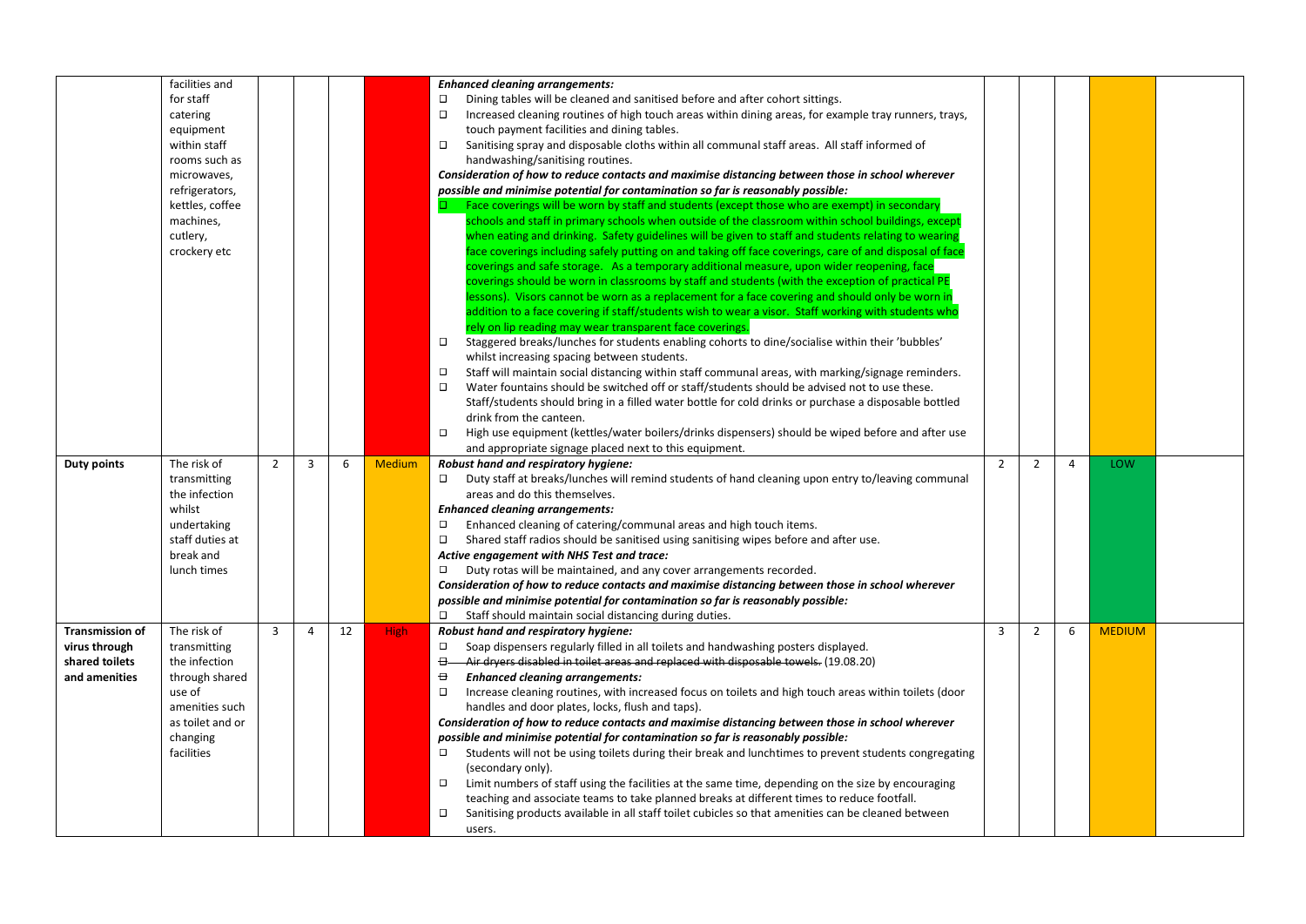|                        | facilities and                 |                |                |    |               | <b>Enhanced cleaning arrangements:</b>                                                                                  |                |                |   |               |  |
|------------------------|--------------------------------|----------------|----------------|----|---------------|-------------------------------------------------------------------------------------------------------------------------|----------------|----------------|---|---------------|--|
|                        | for staff                      |                |                |    |               | □<br>Dining tables will be cleaned and sanitised before and after cohort sittings.                                      |                |                |   |               |  |
|                        | catering                       |                |                |    |               | $\Box$<br>Increased cleaning routines of high touch areas within dining areas, for example tray runners, trays,         |                |                |   |               |  |
|                        | equipment                      |                |                |    |               | touch payment facilities and dining tables.                                                                             |                |                |   |               |  |
|                        | within staff                   |                |                |    |               | $\Box$<br>Sanitising spray and disposable cloths within all communal staff areas. All staff informed of                 |                |                |   |               |  |
|                        | rooms such as                  |                |                |    |               | handwashing/sanitising routines.                                                                                        |                |                |   |               |  |
|                        | microwaves,                    |                |                |    |               | Consideration of how to reduce contacts and maximise distancing between those in school wherever                        |                |                |   |               |  |
|                        | refrigerators,                 |                |                |    |               | possible and minimise potential for contamination so far is reasonably possible:                                        |                |                |   |               |  |
|                        | kettles, coffee                |                |                |    |               | $\Box$ Face coverings will be worn by staff and students (except those who are exempt) in secondary                     |                |                |   |               |  |
|                        |                                |                |                |    |               |                                                                                                                         |                |                |   |               |  |
|                        | machines,                      |                |                |    |               | schools and staff in primary schools when outside of the classroom within school buildings, except                      |                |                |   |               |  |
|                        | cutlery,                       |                |                |    |               | when eating and drinking. Safety guidelines will be given to staff and students relating to wearing                     |                |                |   |               |  |
|                        | crockery etc                   |                |                |    |               | face coverings including safely putting on and taking off face coverings, care of and disposal of face                  |                |                |   |               |  |
|                        |                                |                |                |    |               | coverings and safe storage. As a temporary additional measure, upon wider reopening, face                               |                |                |   |               |  |
|                        |                                |                |                |    |               | coverings should be worn in classrooms by staff and students (with the exception of practical PE                        |                |                |   |               |  |
|                        |                                |                |                |    |               | lessons). Visors cannot be worn as a replacement for a face covering and should only be worn in                         |                |                |   |               |  |
|                        |                                |                |                |    |               | addition to a face covering if staff/students wish to wear a visor. Staff working with students who                     |                |                |   |               |  |
|                        |                                |                |                |    |               | rely on lip reading may wear transparent face coverings.                                                                |                |                |   |               |  |
|                        |                                |                |                |    |               | □<br>Staggered breaks/lunches for students enabling cohorts to dine/socialise within their 'bubbles'                    |                |                |   |               |  |
|                        |                                |                |                |    |               | whilst increasing spacing between students.                                                                             |                |                |   |               |  |
|                        |                                |                |                |    |               | $\Box$<br>Staff will maintain social distancing within staff communal areas, with marking/signage reminders.            |                |                |   |               |  |
|                        |                                |                |                |    |               | $\Box$<br>Water fountains should be switched off or staff/students should be advised not to use these.                  |                |                |   |               |  |
|                        |                                |                |                |    |               | Staff/students should bring in a filled water bottle for cold drinks or purchase a disposable bottled                   |                |                |   |               |  |
|                        |                                |                |                |    |               | drink from the canteen.                                                                                                 |                |                |   |               |  |
|                        |                                |                |                |    |               | $\Box$<br>High use equipment (kettles/water boilers/drinks dispensers) should be wiped before and after use             |                |                |   |               |  |
|                        |                                |                |                |    |               | and appropriate signage placed next to this equipment.                                                                  |                |                |   |               |  |
| Duty points            | The risk of                    | $\overline{2}$ | 3              | 6  | <b>Medium</b> | Robust hand and respiratory hygiene:                                                                                    | $\overline{2}$ | $\overline{2}$ | 4 | LOW           |  |
|                        | transmitting                   |                |                |    |               |                                                                                                                         |                |                |   |               |  |
|                        |                                |                |                |    |               | $\Box$<br>Duty staff at breaks/lunches will remind students of hand cleaning upon entry to/leaving communal             |                |                |   |               |  |
|                        | the infection                  |                |                |    |               | areas and do this themselves.                                                                                           |                |                |   |               |  |
|                        | whilst                         |                |                |    |               | <b>Enhanced cleaning arrangements:</b>                                                                                  |                |                |   |               |  |
|                        |                                |                |                |    |               | $\Box$                                                                                                                  |                |                |   |               |  |
|                        | undertaking<br>staff duties at |                |                |    |               | Enhanced cleaning of catering/communal areas and high touch items.<br>$\Box$                                            |                |                |   |               |  |
|                        |                                |                |                |    |               | Shared staff radios should be sanitised using sanitising wipes before and after use.                                    |                |                |   |               |  |
|                        | break and                      |                |                |    |               | Active engagement with NHS Test and trace:                                                                              |                |                |   |               |  |
|                        | lunch times                    |                |                |    |               | Duty rotas will be maintained, and any cover arrangements recorded.<br>□                                                |                |                |   |               |  |
|                        |                                |                |                |    |               | Consideration of how to reduce contacts and maximise distancing between those in school wherever                        |                |                |   |               |  |
|                        |                                |                |                |    |               | possible and minimise potential for contamination so far is reasonably possible:                                        |                |                |   |               |  |
|                        |                                |                |                |    |               | $\Box$<br>Staff should maintain social distancing during duties.                                                        |                |                |   |               |  |
| <b>Transmission of</b> | The risk of                    | $\overline{3}$ | $\overline{4}$ | 12 | <b>High</b>   | Robust hand and respiratory hygiene:                                                                                    | 3              | 2              | 6 | <b>MEDIUM</b> |  |
| virus through          | transmitting                   |                |                |    |               | $\Box$<br>Soap dispensers regularly filled in all toilets and handwashing posters displayed.                            |                |                |   |               |  |
| shared toilets         | the infection                  |                |                |    |               | 8-<br>Air dryers disabled in toilet areas and replaced with disposable towels. (19.08.20)                               |                |                |   |               |  |
| and amenities          | through shared                 |                |                |    |               | ⊟<br><b>Enhanced cleaning arrangements:</b>                                                                             |                |                |   |               |  |
|                        | use of                         |                |                |    |               | $\Box$<br>Increase cleaning routines, with increased focus on toilets and high touch areas within toilets (door         |                |                |   |               |  |
|                        | amenities such                 |                |                |    |               | handles and door plates, locks, flush and taps).                                                                        |                |                |   |               |  |
|                        | as toilet and or               |                |                |    |               | Consideration of how to reduce contacts and maximise distancing between those in school wherever                        |                |                |   |               |  |
|                        | changing                       |                |                |    |               | possible and minimise potential for contamination so far is reasonably possible:                                        |                |                |   |               |  |
|                        | facilities                     |                |                |    |               | □<br>Students will not be using toilets during their break and lunchtimes to prevent students congregating              |                |                |   |               |  |
|                        |                                |                |                |    |               | (secondary only).                                                                                                       |                |                |   |               |  |
|                        |                                |                |                |    |               | $\Box$<br>Limit numbers of staff using the facilities at the same time, depending on the size by encouraging            |                |                |   |               |  |
|                        |                                |                |                |    |               | teaching and associate teams to take planned breaks at different times to reduce footfall.                              |                |                |   |               |  |
|                        |                                |                |                |    |               | $\Box$<br>Sanitising products available in all staff toilet cubicles so that amenities can be cleaned between<br>users. |                |                |   |               |  |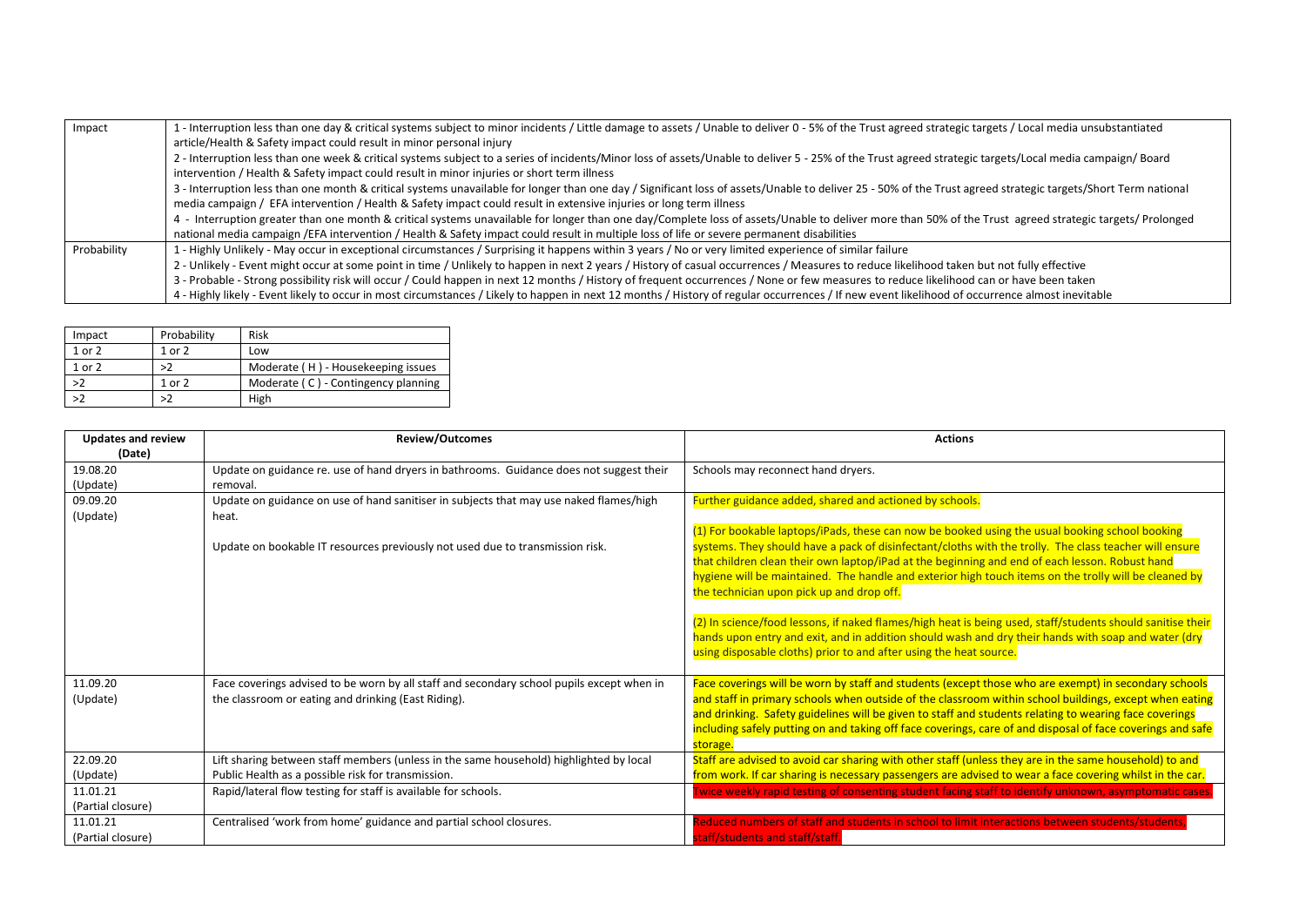| Impact      | 1 - Interruption less than one day & critical systems subject to minor incidents / Little damage to assets / Unable to deliver 0 - 5% of the Trust agreed strategic targets / Local media unsubstantiated     |
|-------------|---------------------------------------------------------------------------------------------------------------------------------------------------------------------------------------------------------------|
|             | article/Health & Safety impact could result in minor personal injury                                                                                                                                          |
|             | 2 - Interruption less than one week & critical systems subject to a series of incidents/Minor loss of assets/Unable to deliver 5 - 25% of the Trust agreed strategic targets/Local media campaign/ Board      |
|             | intervention / Health & Safety impact could result in minor injuries or short term illness                                                                                                                    |
|             | 3 - Interruption less than one month & critical systems unavailable for longer than one day / Significant loss of assets/Unable to deliver 25 - 50% of the Trust agreed strategic targets/Short Term national |
|             | media campaign / EFA intervention / Health & Safety impact could result in extensive injuries or long term illness                                                                                            |
|             | 4 - Interruption greater than one month & critical systems unavailable for longer than one day/Complete loss of assets/Unable to deliver more than 50% of the Trust agreed strategic targets/ Prolonged       |
|             | national media campaign /EFA intervention / Health & Safety impact could result in multiple loss of life or severe permanent disabilities                                                                     |
| Probability | 1 - Highly Unlikely - May occur in exceptional circumstances / Surprising it happens within 3 years / No or very limited experience of similar failure                                                        |
|             | 2 - Unlikely - Event might occur at some point in time / Unlikely to happen in next 2 years / History of casual occurrences / Measures to reduce likelihood taken but not fully effective                     |
|             | 3 - Probable - Strong possibility risk will occur / Could happen in next 12 months / History of frequent occurrences / None or few measures to reduce likelihood can or have been taken                       |
|             | 4 - Highly likely - Event likely to occur in most circumstances / Likely to happen in next 12 months / History of regular occurrences / If new event likelihood of occurrence almost inevitable               |

| Impact | Probability | Risk                                |
|--------|-------------|-------------------------------------|
| 1 or 2 | 1 or 2      | Low                                 |
| 1 or 2 | >2          | Moderate (H) - Housekeeping issues  |
| >2     | 1 or 2      | Moderate (C) - Contingency planning |
| >2     | >2          | High                                |

| <b>Updates and review</b>      | <b>Review/Outcomes</b>                                                                                                                                                           | <b>Actions</b>                                                                                                                                                                                                                                                                                                                                                                                                                                                                                                                                                                                                                                                                                                                                                                                                         |
|--------------------------------|----------------------------------------------------------------------------------------------------------------------------------------------------------------------------------|------------------------------------------------------------------------------------------------------------------------------------------------------------------------------------------------------------------------------------------------------------------------------------------------------------------------------------------------------------------------------------------------------------------------------------------------------------------------------------------------------------------------------------------------------------------------------------------------------------------------------------------------------------------------------------------------------------------------------------------------------------------------------------------------------------------------|
| (Date)<br>19.08.20<br>(Update) | Update on guidance re. use of hand dryers in bathrooms. Guidance does not suggest their<br>removal.                                                                              | Schools may reconnect hand dryers.                                                                                                                                                                                                                                                                                                                                                                                                                                                                                                                                                                                                                                                                                                                                                                                     |
| 09.09.20<br>(Update)           | Update on guidance on use of hand sanitiser in subjects that may use naked flames/high<br>heat.<br>Update on bookable IT resources previously not used due to transmission risk. | Further guidance added, shared and actioned by schools.<br>(1) For bookable laptops/iPads, these can now be booked using the usual booking school booking<br>systems. They should have a pack of disinfectant/cloths with the trolly. The class teacher will ensure<br>that children clean their own laptop/iPad at the beginning and end of each lesson. Robust hand<br>hygiene will be maintained. The handle and exterior high touch items on the trolly will be cleaned by<br>the technician upon pick up and drop off.<br>(2) In science/food lessons, if naked flames/high heat is being used, staff/students should sanitise their<br>hands upon entry and exit, and in addition should wash and dry their hands with soap and water (dry<br>using disposable cloths) prior to and after using the heat source. |
| 11.09.20<br>(Update)           | Face coverings advised to be worn by all staff and secondary school pupils except when in<br>the classroom or eating and drinking (East Riding).                                 | Face coverings will be worn by staff and students (except those who are exempt) in secondary schools<br>and staff in primary schools when outside of the classroom within school buildings, except when eating<br>and drinking. Safety guidelines will be given to staff and students relating to wearing face coverings<br>including safely putting on and taking off face coverings, care of and disposal of face coverings and safe<br>storage.                                                                                                                                                                                                                                                                                                                                                                     |
| 22.09.20<br>(Update)           | Lift sharing between staff members (unless in the same household) highlighted by local<br>Public Health as a possible risk for transmission.                                     | Staff are advised to avoid car sharing with other staff (unless they are in the same household) to and<br>from work. If car sharing is necessary passengers are advised to wear a face covering whilst in the car.                                                                                                                                                                                                                                                                                                                                                                                                                                                                                                                                                                                                     |
| 11.01.21<br>(Partial closure)  | Rapid/lateral flow testing for staff is available for schools.                                                                                                                   | wice weekly rapid testing of consenting student facing staff to identify unknown, asymptomatic cases.                                                                                                                                                                                                                                                                                                                                                                                                                                                                                                                                                                                                                                                                                                                  |
| 11.01.21<br>(Partial closure)  | Centralised 'work from home' guidance and partial school closures.                                                                                                               | educed numbers of staff and students in school to limit interactions between students/students<br>staff/students and staff/staff.                                                                                                                                                                                                                                                                                                                                                                                                                                                                                                                                                                                                                                                                                      |